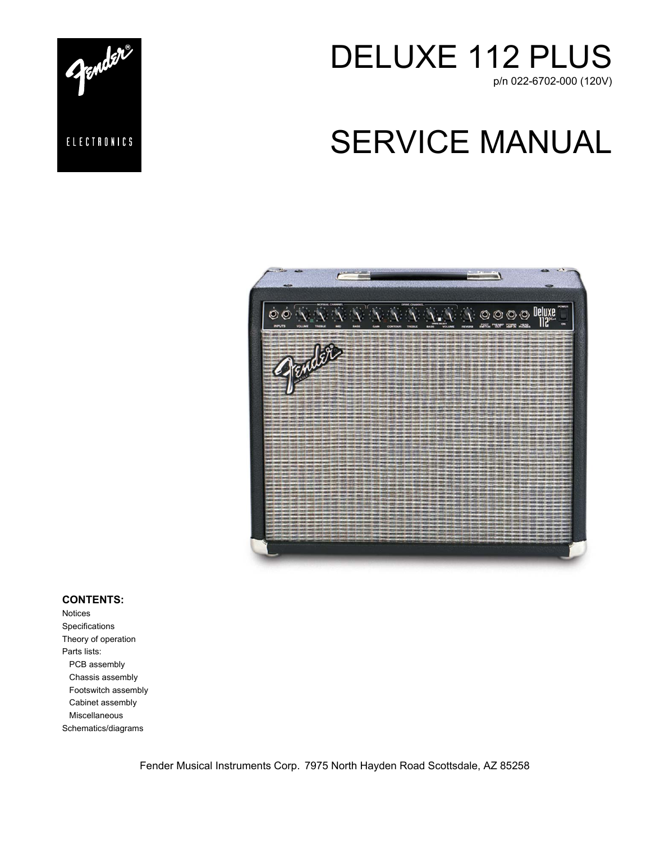

# SERVICE MANUAL





#### **CONTENTS:**

Notices Specifications Theory of operation Parts lists: PCB assembly Chassis assembly Footswitch assembly Cabinet assembly Miscellaneous Schematics/diagrams

Fender Musical Instruments Corp. 7975 North Hayden Road Scottsdale, AZ 85258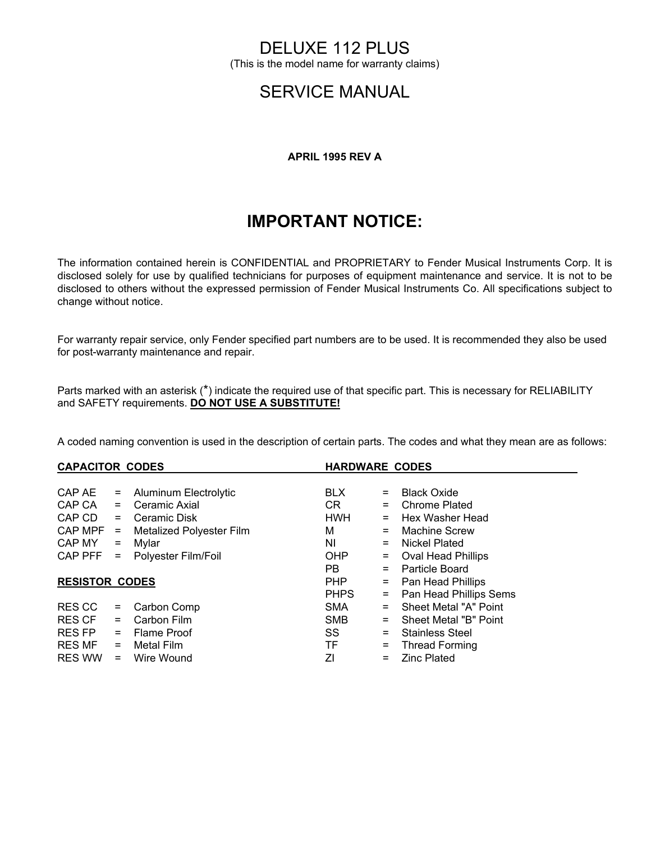## DELUXE 112 PLUS

(This is the model name for warranty claims)

## SERVICE MANUAL

#### **APRIL 1995 REV A**

## **IMPORTANT NOTICE:**

The information contained herein is CONFIDENTIAL and PROPRIETARY to Fender Musical Instruments Corp. It is disclosed solely for use by qualified technicians for purposes of equipment maintenance and service. It is not to be disclosed to others without the expressed permission of Fender Musical Instruments Co. All specifications subject to change without notice.

For warranty repair service, only Fender specified part numbers are to be used. It is recommended they also be used for post-warranty maintenance and repair.

Parts marked with an asterisk (\*) indicate the required use of that specific part. This is necessary for RELIABILITY and SAFETY requirements. **DO NOT USE A SUBSTITUTE!**

A coded naming convention is used in the description of certain parts. The codes and what they mean are as follows:

| <b>CAPACITOR CODES</b> |                                 |                               | <b>HARDWARE CODES</b> |                           |  |
|------------------------|---------------------------------|-------------------------------|-----------------------|---------------------------|--|
|                        |                                 |                               |                       |                           |  |
| $=$                    | Aluminum Electrolytic           | <b>BLX</b>                    | $=$                   | <b>Black Oxide</b>        |  |
| $=$                    | Ceramic Axial                   | CR                            | $=$                   | <b>Chrome Plated</b>      |  |
| CAP CD<br>$=$          | Ceramic Disk                    | <b>HWH</b>                    |                       | Hex Washer Head           |  |
| $CAPMPF =$             | <b>Metalized Polyester Film</b> | м                             | $=$                   | Machine Screw             |  |
| CAP MY                 |                                 | ΝI                            | $=$                   | Nickel Plated             |  |
| $CAP$ $PFF =$          | Polyester Film/Foil             | <b>OHP</b>                    | $\equiv$              | <b>Oval Head Phillips</b> |  |
|                        |                                 | PB.                           | $=$                   | Particle Board            |  |
| <b>RESISTOR CODES</b>  |                                 |                               | $=$                   | Pan Head Phillips         |  |
|                        |                                 | <b>PHPS</b>                   | $\equiv$              | Pan Head Phillips Sems    |  |
| $=$                    | Carbon Comp                     | <b>SMA</b>                    | $=$                   | Sheet Metal "A" Point     |  |
| $=$                    | Carbon Film                     | <b>SMB</b>                    |                       | Sheet Metal "B" Point     |  |
| $=$                    |                                 | SS                            | $=$                   | <b>Stainless Steel</b>    |  |
| RES MF<br>$=$          | Metal Film                      | TF                            | $=$                   | <b>Thread Forming</b>     |  |
| $=$                    | Wire Wound                      | ΖI                            | $=$                   | <b>Zinc Plated</b>        |  |
|                        |                                 | = Mylar<br><b>Flame Proof</b> | <b>PHP</b>            |                           |  |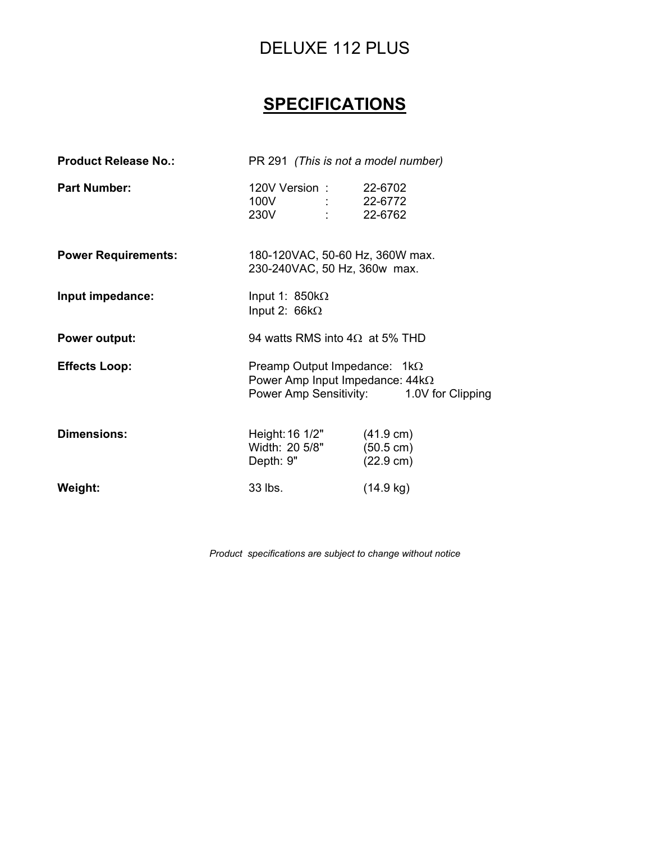## DELUXE 112 PLUS

## **SPECIFICATIONS**

| <b>Product Release No.:</b> | PR 291 (This is not a model number)                                           |                                            |  |
|-----------------------------|-------------------------------------------------------------------------------|--------------------------------------------|--|
| <b>Part Number:</b>         | 120V Version: 22-6702<br>100V : 22-6772<br>230V : 22-6762                     |                                            |  |
| <b>Power Requirements:</b>  | 180-120VAC, 50-60 Hz, 360W max.<br>230-240VAC, 50 Hz, 360w max.               |                                            |  |
| Input impedance:            | Input 1: $850k\Omega$<br>Input 2: $66k\Omega$                                 |                                            |  |
| <b>Power output:</b>        | 94 watts RMS into $4\Omega$ at 5% THD                                         |                                            |  |
| <b>Effects Loop:</b>        | Preamp Output Impedance: $1k\Omega$<br>Power Amp Input Impedance: $44k\Omega$ | Power Amp Sensitivity: 1.0V for Clipping   |  |
| <b>Dimensions:</b>          | Height: 16 1/2"<br>Width: 20 5/8" (50.5 cm)<br>Depth: 9"                      | $(41.9 \text{ cm})$<br>$(22.9 \text{ cm})$ |  |
|                             | 33 lbs.                                                                       | $(14.9 \text{ kg})$                        |  |

*Product specifications are subject to change without notice*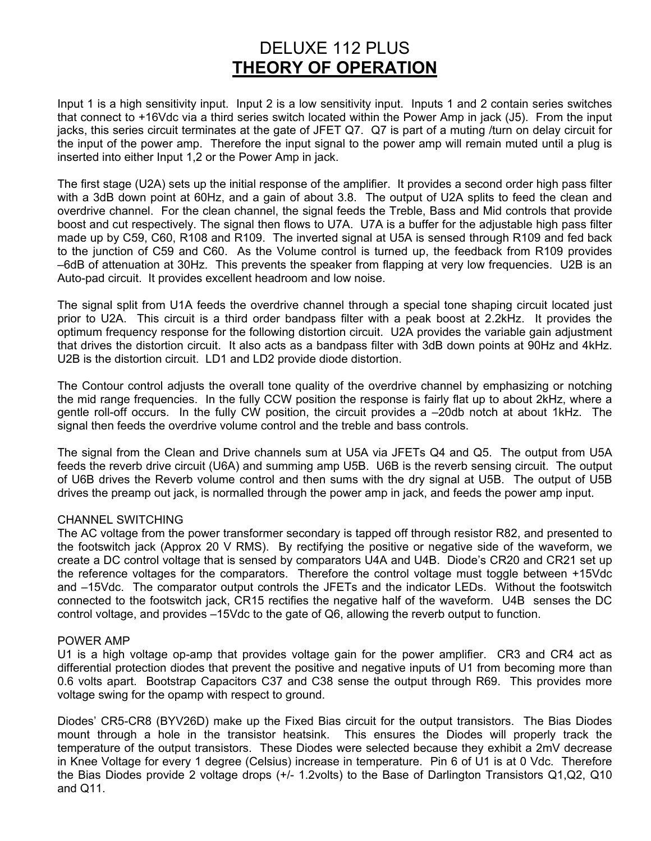### DELUXE 112 PLUS **THEORY OF OPERATION**

Input 1 is a high sensitivity input. Input 2 is a low sensitivity input. Inputs 1 and 2 contain series switches that connect to +16Vdc via a third series switch located within the Power Amp in jack (J5). From the input jacks, this series circuit terminates at the gate of JFET Q7. Q7 is part of a muting /turn on delay circuit for the input of the power amp. Therefore the input signal to the power amp will remain muted until a plug is inserted into either Input 1,2 or the Power Amp in jack.

The first stage (U2A) sets up the initial response of the amplifier. It provides a second order high pass filter with a 3dB down point at 60Hz, and a gain of about 3.8. The output of U2A splits to feed the clean and overdrive channel. For the clean channel, the signal feeds the Treble, Bass and Mid controls that provide boost and cut respectively. The signal then flows to U7A. U7A is a buffer for the adjustable high pass filter made up by C59, C60, R108 and R109. The inverted signal at U5A is sensed through R109 and fed back to the junction of C59 and C60. As the Volume control is turned up, the feedback from R109 provides –6dB of attenuation at 30Hz. This prevents the speaker from flapping at very low frequencies. U2B is an Auto-pad circuit. It provides excellent headroom and low noise.

The signal split from U1A feeds the overdrive channel through a special tone shaping circuit located just prior to U2A. This circuit is a third order bandpass filter with a peak boost at 2.2kHz. It provides the optimum frequency response for the following distortion circuit. U2A provides the variable gain adjustment that drives the distortion circuit. It also acts as a bandpass filter with 3dB down points at 90Hz and 4kHz. U2B is the distortion circuit. LD1 and LD2 provide diode distortion.

The Contour control adjusts the overall tone quality of the overdrive channel by emphasizing or notching the mid range frequencies. In the fully CCW position the response is fairly flat up to about 2kHz, where a gentle roll-off occurs. In the fully CW position, the circuit provides a –20db notch at about 1kHz. The signal then feeds the overdrive volume control and the treble and bass controls.

The signal from the Clean and Drive channels sum at U5A via JFETs Q4 and Q5. The output from U5A feeds the reverb drive circuit (U6A) and summing amp U5B. U6B is the reverb sensing circuit. The output of U6B drives the Reverb volume control and then sums with the dry signal at U5B. The output of U5B drives the preamp out jack, is normalled through the power amp in jack, and feeds the power amp input.

#### CHANNEL SWITCHING

The AC voltage from the power transformer secondary is tapped off through resistor R82, and presented to the footswitch jack (Approx 20 V RMS). By rectifying the positive or negative side of the waveform, we create a DC control voltage that is sensed by comparators U4A and U4B. Diode's CR20 and CR21 set up the reference voltages for the comparators. Therefore the control voltage must toggle between +15Vdc and –15Vdc. The comparator output controls the JFETs and the indicator LEDs. Without the footswitch connected to the footswitch jack, CR15 rectifies the negative half of the waveform. U4B senses the DC control voltage, and provides –15Vdc to the gate of Q6, allowing the reverb output to function.

#### POWER AMP

U1 is a high voltage op-amp that provides voltage gain for the power amplifier. CR3 and CR4 act as differential protection diodes that prevent the positive and negative inputs of U1 from becoming more than 0.6 volts apart. Bootstrap Capacitors C37 and C38 sense the output through R69. This provides more voltage swing for the opamp with respect to ground.

Diodes' CR5-CR8 (BYV26D) make up the Fixed Bias circuit for the output transistors. The Bias Diodes mount through a hole in the transistor heatsink. This ensures the Diodes will properly track the temperature of the output transistors. These Diodes were selected because they exhibit a 2mV decrease in Knee Voltage for every 1 degree (Celsius) increase in temperature. Pin 6 of U1 is at 0 Vdc. Therefore the Bias Diodes provide 2 voltage drops (+/- 1.2volts) to the Base of Darlington Transistors Q1,Q2, Q10 and Q11.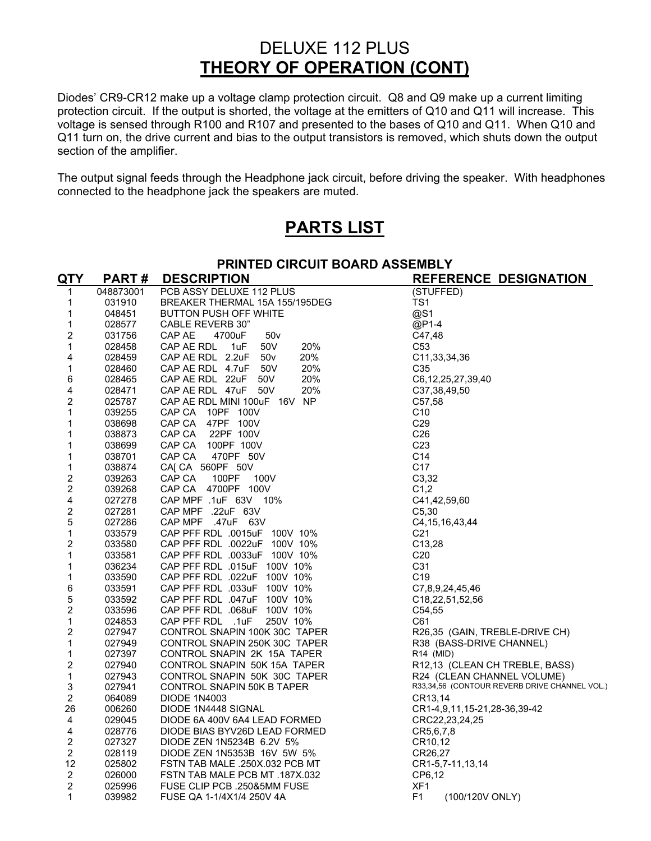### DELUXE 112 PLUS **THEORY OF OPERATION (CONT)**

Diodes' CR9-CR12 make up a voltage clamp protection circuit. Q8 and Q9 make up a current limiting protection circuit. If the output is shorted, the voltage at the emitters of Q10 and Q11 will increase. This voltage is sensed through R100 and R107 and presented to the bases of Q10 and Q11. When Q10 and Q11 turn on, the drive current and bias to the output transistors is removed, which shuts down the output section of the amplifier.

The output signal feeds through the Headphone jack circuit, before driving the speaker. With headphones connected to the headphone jack the speakers are muted.

## **PARTS LIST**

|                         | PRINTED CIRCUIT BOARD ASSEMBLY |                                                                |                                                                             |  |
|-------------------------|--------------------------------|----------------------------------------------------------------|-----------------------------------------------------------------------------|--|
| <u>QTY</u>              | <b>PART#</b>                   | <b>DESCRIPTION</b>                                             | REFERENCE DESIGNATION                                                       |  |
| 1                       | 048873001                      | PCB ASSY DELUXE 112 PLUS                                       | (STUFFED)                                                                   |  |
| 1                       | 031910                         | BREAKER THERMAL 15A 155/195DEG                                 | TS1                                                                         |  |
| 1                       | 048451                         | <b>BUTTON PUSH OFF WHITE</b>                                   | @S1                                                                         |  |
| 1                       | 028577                         | <b>CABLE REVERB 30"</b>                                        | @P1-4                                                                       |  |
| 2                       | 031756                         | CAP AE<br>4700uF<br>50v                                        | C47,48                                                                      |  |
| 1                       | 028458                         | CAP AE RDL 1uF<br>50V<br>20%                                   | C <sub>53</sub>                                                             |  |
| 4                       | 028459                         | CAP AE RDL 2.2uF 50v<br>20%                                    | C <sub>11</sub> , 33, 34, 36                                                |  |
| 1                       | 028460                         | CAP AE RDL 4.7uF 50V<br>20%                                    | C <sub>35</sub>                                                             |  |
| 6                       | 028465                         | CAP AE RDL 22uF 50V<br>20%                                     | C6, 12, 25, 27, 39, 40                                                      |  |
| 4                       | 028471                         | CAP AE RDL 47uF 50V<br>20%                                     | C37,38,49,50                                                                |  |
| $\overline{2}$          | 025787                         | CAP AE RDL MINI 100uF 16V NP                                   | C57,58                                                                      |  |
| 1                       | 039255                         | CAP CA<br>10PF 100V                                            | C10                                                                         |  |
| 1                       | 038698                         | CAP CA 47PF 100V                                               | C <sub>29</sub>                                                             |  |
| 1                       | 038873                         | CAP CA<br>22PF 100V                                            | C <sub>26</sub>                                                             |  |
| 1                       | 038699                         | 100PF 100V<br>CAP CA                                           | C <sub>23</sub>                                                             |  |
| 1                       | 038701                         | CAP CA<br>470PF 50V                                            | C <sub>14</sub>                                                             |  |
| 1                       | 038874                         | CAJ CA 560PF 50V                                               | C <sub>17</sub>                                                             |  |
| 2                       | 039263                         | CAP CA<br>100PF<br>100V                                        | C <sub>3</sub> , 32                                                         |  |
| $\overline{2}$          | 039268                         | CAP CA 4700PF 100V                                             | C1,2                                                                        |  |
| 4                       | 027278                         | CAP MPF .1uF 63V 10%                                           | C41,42,59,60                                                                |  |
| 2                       | 027281                         | CAP MPF .22uF 63V                                              | C <sub>5</sub> .30                                                          |  |
| 5                       | 027286                         | CAP MPF .47uF 63V                                              | C4, 15, 16, 43, 44                                                          |  |
| $\mathbf 1$             | 033579                         | CAP PFF RDL .0015uF 100V 10%                                   | C <sub>21</sub>                                                             |  |
| 2                       | 033580                         | CAP PFF RDL .0022uF 100V 10%                                   | C <sub>13,28</sub>                                                          |  |
| 1                       | 033581                         | CAP PFF RDL .0033uF 100V 10%                                   | C <sub>20</sub>                                                             |  |
| 1                       | 036234                         | CAP PFF RDL .015uF 100V 10%                                    | C31                                                                         |  |
| 1                       | 033590                         | CAP PFF RDL .022uF 100V 10%                                    | C <sub>19</sub>                                                             |  |
| 6                       | 033591                         | CAP PFF RDL .033uF 100V 10%                                    | C7,8,9,24,45,46                                                             |  |
| 5                       | 033592                         | CAP PFF RDL .047uF 100V 10%                                    | C <sub>18</sub> , 22, 51, 52, 56                                            |  |
| $\overline{\mathbf{c}}$ | 033596                         | CAP PFF RDL .068uF 100V 10%                                    | C54,55                                                                      |  |
| $\mathbf{1}$            | 024853                         | CAP PFF RDL .1uF<br>250V 10%                                   | C61                                                                         |  |
| 2                       | 027947                         | CONTROL SNAPIN 100K 30C TAPER                                  | R26,35 (GAIN, TREBLE-DRIVE CH)                                              |  |
| $\mathbf 1$             | 027949                         | CONTROL SNAPIN 250K 30C TAPER                                  | R38 (BASS-DRIVE CHANNEL)                                                    |  |
| 1                       | 027397                         | CONTROL SNAPIN 2K 15A TAPER                                    | R14 (MID)                                                                   |  |
| 2<br>$\mathbf 1$        | 027940                         | CONTROL SNAPIN 50K 15A TAPER                                   | R12,13 (CLEAN CH TREBLE, BASS)                                              |  |
|                         | 027943                         | CONTROL SNAPIN 50K 30C TAPER                                   | R24 (CLEAN CHANNEL VOLUME)<br>R33,34,56 (CONTOUR REVERB DRIVE CHANNEL VOL.) |  |
| 3                       | 027941<br>064089               | CONTROL SNAPIN 50K B TAPER                                     |                                                                             |  |
| 2<br>26                 | 006260                         | <b>DIODE 1N4003</b><br>DIODE 1N4448 SIGNAL                     | CR13,14                                                                     |  |
|                         | 029045                         |                                                                | CR1-4,9,11,15-21,28-36,39-42                                                |  |
| 4<br>4                  | 028776                         | DIODE 6A 400V 6A4 LEAD FORMED<br>DIODE BIAS BYV26D LEAD FORMED | CRC22,23,24,25                                                              |  |
| $\overline{2}$          | 027327                         | DIODE ZEN 1N5234B 6.2V 5%                                      | CR5,6,7,8                                                                   |  |
| $\overline{2}$          | 028119                         |                                                                | CR10,12                                                                     |  |
| 12                      | 025802                         | DIODE ZEN 1N5353B 16V 5W 5%<br>FSTN TAB MALE .250X.032 PCB MT  | CR26,27<br>CR1-5,7-11,13,14                                                 |  |
| 2                       | 026000                         | FSTN TAB MALE PCB MT .187X.032                                 | CP6,12                                                                      |  |
| $\overline{2}$          | 025996                         | FUSE CLIP PCB .250&5MM FUSE                                    | XF <sub>1</sub>                                                             |  |
| 1                       | 039982                         | FUSE QA 1-1/4X1/4 250V 4A                                      | F1<br>(100/120V ONLY)                                                       |  |
|                         |                                |                                                                |                                                                             |  |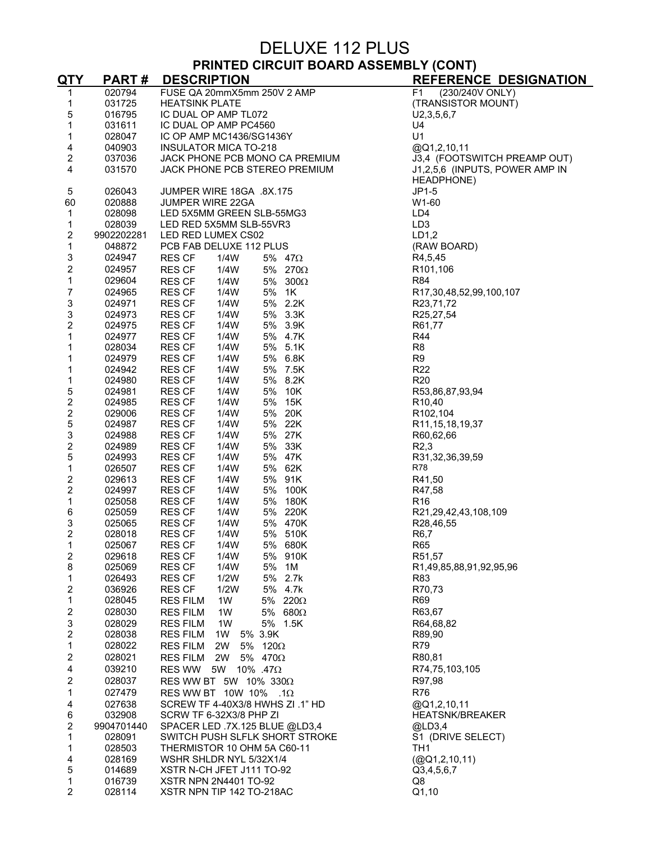## DELUXE 112 PLUS

### **PRINTED CIRCUIT BOARD ASSEMBLY (CONT)**

| <u>QTY</u>                   | <b>PART#</b>     | <b>DESCRIPTION</b>                                                 | <b>REFERENCE DESIGNATION</b>     |
|------------------------------|------------------|--------------------------------------------------------------------|----------------------------------|
| 1                            | 020794           | FUSE QA 20mmX5mm 250V 2 AMP                                        | (230/240V ONLY)<br>F1            |
| 1                            | 031725           | <b>HEATSINK PLATE</b>                                              | (TRANSISTOR MOUNT)               |
| 5                            | 016795           | IC DUAL OP AMP TL072                                               | U2, 3, 5, 6, 7                   |
| 1                            | 031611           | IC DUAL OP AMP PC4560                                              | U4                               |
| 1                            | 028047           | IC OP AMP MC1436/SG1436Y                                           | U1                               |
| 4                            | 040903           | <b>INSULATOR MICA TO-218</b>                                       | @Q1,2,10,11                      |
| 2                            | 037036           | JACK PHONE PCB MONO CA PREMIUM                                     | J3,4 (FOOTSWITCH PREAMP OUT)     |
| 4                            | 031570           | JACK PHONE PCB STEREO PREMIUM                                      | J1,2,5,6 (INPUTS, POWER AMP IN   |
|                              |                  |                                                                    | HEADPHONE)                       |
| 5                            | 026043           | JUMPER WIRE 18GA .8X.175                                           | $JP1-5$                          |
| 60                           | 020888           | <b>JUMPER WIRE 22GA</b>                                            | W1-60                            |
| 1                            | 028098           | LED 5X5MM GREEN SLB-55MG3                                          | LD4                              |
| 1                            | 028039           | LED RED 5X5MM SLB-55VR3                                            | LD <sub>3</sub>                  |
| 2                            | 9902202281       | LED RED LUMEX CS02                                                 | LD1,2                            |
| 1                            | 048872           | PCB FAB DELUXE 112 PLUS                                            | (RAW BOARD)                      |
| 3                            | 024947           | <b>RES CF</b><br>1/4W<br>5% 47Ω                                    | R4,5,45                          |
| 2                            | 024957           | <b>RES CF</b><br>1/4W<br>5% 270Ω                                   | R101,106                         |
| 1                            | 029604           | 5% $300\Omega$<br><b>RES CF</b><br>1/4W                            | <b>R84</b>                       |
| 7                            | 024965           | <b>RES CF</b><br>1/4W<br>5% 1K                                     | R17,30,48,52,99,100,107          |
| 3                            | 024971           | 5% 2.2K<br><b>RES CF</b><br>1/4W                                   | R23,71,72                        |
| 3                            | 024973           | 1/4W<br>5% 3.3K<br><b>RES CF</b>                                   | R25,27,54                        |
| $\overline{\mathbf{c}}$      | 024975           | <b>RES CF</b><br>1/4W<br>5% 3.9K                                   | R61,77                           |
| 1                            | 024977           | <b>RES CF</b><br>1/4W<br>5% 4.7K                                   | <b>R44</b>                       |
| 1                            | 028034           | 5% 5.1K<br>RES CF<br>1/4W                                          | R8                               |
| 1                            | 024979           | 5% 6.8K<br><b>RES CF</b><br>1/4W                                   | R <sub>9</sub>                   |
| 1                            | 024942           | <b>RES CF</b><br>1/4W<br>5% 7.5K                                   | R <sub>22</sub>                  |
| 1                            | 024980           | <b>RES CF</b><br>1/4W<br>5% 8.2K                                   | R <sub>20</sub>                  |
| 5                            | 024981           | 5% 10K<br><b>RES CF</b><br>1/4W                                    | R53,86,87,93,94                  |
| $\boldsymbol{2}$             | 024985           | <b>RES CF</b><br>1/4W<br>5% 15K                                    | R <sub>10</sub> ,40              |
| $\overline{\mathbf{c}}$<br>5 | 029006           | <b>RES CF</b><br>1/4W<br>5% 20K                                    | R <sub>102</sub> , 104           |
|                              | 024987           | 5% 22K<br>RES CF<br>1/4W                                           | R <sub>11</sub> , 15, 18, 19, 37 |
| 3<br>2                       | 024988<br>024989 | <b>RES CF</b><br>1/4W<br>5% 27K<br>1/4W<br>5% 33K<br><b>RES CF</b> | R60,62,66<br>R2,3                |
| 5                            | 024993           | <b>RES CF</b><br>5% 47K<br>1/4W                                    | R31,32,36,39,59                  |
| $\mathbf 1$                  | 026507           | 5% 62K<br><b>RES CF</b><br>1/4W                                    | R78                              |
| 2                            | 029613           | 5% 91K<br><b>RES CF</b><br>1/4W                                    | R41,50                           |
| $\overline{\mathbf{c}}$      | 024997           | <b>RES CF</b><br>1/4W<br>5% 100K                                   | R47,58                           |
| $\mathbf 1$                  | 025058           | 5% 180K<br><b>RES CF</b><br>1/4W                                   | R <sub>16</sub>                  |
| $\,6\,$                      | 025059           | 5% 220K<br><b>RES CF</b><br>1/4W                                   | R21,29,42,43,108,109             |
| 3                            | 025065           | 5% 470K<br><b>RES CF</b><br>1/4W                                   | R28,46,55                        |
| $\overline{\mathbf{c}}$      | 028018           | <b>RES CF</b><br>5% 510K<br>1/4W                                   | R <sub>6</sub> ,7                |
| 1                            | 025067           | <b>RES CF</b><br>1/4W<br>5% 680K                                   | <b>R65</b>                       |
| 2                            | 029618           | 1/4W<br>5% 910K<br><b>RES CF</b>                                   | R51,57                           |
| 8                            | 025069           | <b>RES CF</b><br>1/4W<br>5%<br>1M                                  | R1,49,85,88,91,92,95,96          |
| 1                            | 026493           | <b>RES CF</b><br>1/2W<br>5% 2.7k                                   | R83                              |
| 2                            | 036926           | 1/2W<br>5% 4.7k<br><b>RES CF</b>                                   | R70,73                           |
| 1                            | 028045           | <b>RES FILM</b><br>1W<br>5% 220 $\Omega$                           | R69                              |
| $\boldsymbol{2}$             | 028030           | 5% 680 $\Omega$<br><b>RES FILM</b><br>1W                           | R63,67                           |
| 3                            | 028029           | <b>RES FILM</b><br>1W<br>5% 1.5K                                   | R64,68,82                        |
| $\mathbf 2$                  | 028038           | <b>RES FILM</b><br>1W<br>5% 3.9K                                   | R89,90                           |
| $\mathbf 1$                  | 028022           | 5% $120\Omega$<br>RES FILM<br>2W                                   | R79                              |
| $\overline{\mathbf{c}}$      | 028021           | <b>RES FILM</b><br>5% 470 $\Omega$<br>2W                           | R80,81                           |
| 4                            | 039210           | 10% .47 $\Omega$<br>RES WW 5W                                      | R74,75,103,105                   |
| 2                            | 028037           | RES WW BT 5W 10% 330Ω                                              | R97,98                           |
| $\mathbf{1}$                 | 027479           | RES WW BT 10W 10% .1 $\Omega$                                      | <b>R76</b>                       |
| 4                            | 027638           | SCREW TF 4-40X3/8 HWHS ZI .1" HD                                   | @Q1,2,10,11                      |
| $\,6\,$                      | 032908           | SCRW TF 6-32X3/8 PHP ZI                                            | <b>HEATSNK/BREAKER</b>           |
| 2                            | 9904701440       | SPACER LED .7X.125 BLUE @LD3,4                                     | @LD3.4                           |
| 1                            | 028091           | SWITCH PUSH SLFLK SHORT STROKE                                     | S1 (DRIVE SELECT)                |
| 1                            | 028503           | THERMISTOR 10 OHM 5A C60-11                                        | TH <sub>1</sub>                  |
| 4                            | 028169           | WSHR SHLDR NYL 5/32X1/4                                            | (QQ1, 2, 10, 11)                 |
| 5                            | 014689           | XSTR N-CH JFET J111 TO-92                                          | Q3,4,5,6,7                       |
| 1                            | 016739           | XSTR NPN 2N4401 TO-92                                              | Q8                               |
| $\overline{2}$               | 028114           | XSTR NPN TIP 142 TO-218AC                                          | Q1, 10                           |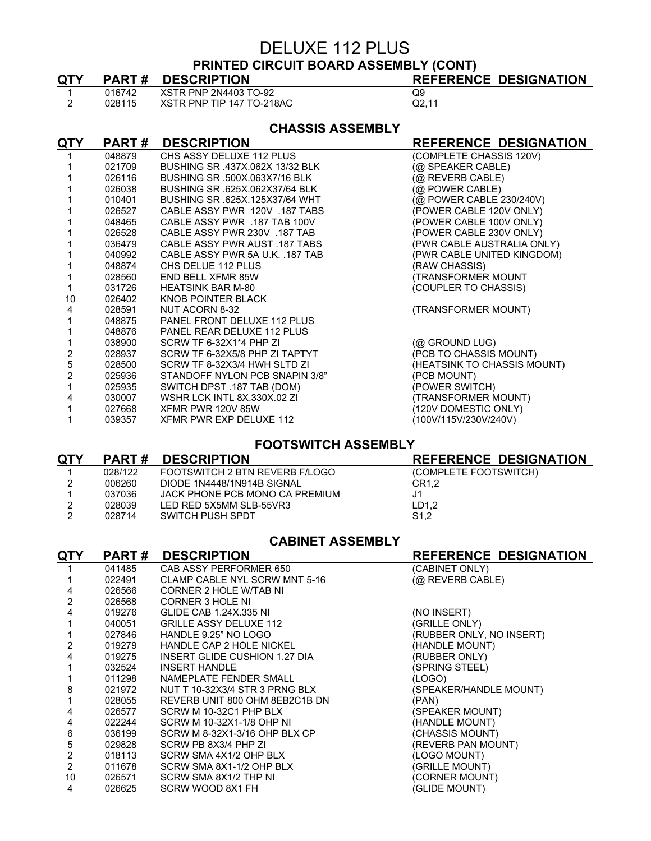#### DELUXE 112 PLUS **PRINTED CIRCUIT BOARD ASSEMBLY (CONT)**

| <u>QTY</u>              | <b>PART#</b> | <b>DESCRIPTION</b>                 | <b>REFERENCE DESIGNATION</b> |
|-------------------------|--------------|------------------------------------|------------------------------|
| 1                       | 016742       | XSTR PNP 2N4403 TO-92              | Q9                           |
| $\overline{2}$          | 028115       | XSTR PNP TIP 147 TO-218AC          | Q2.11                        |
|                         |              |                                    |                              |
|                         |              | <b>CHASSIS ASSEMBLY</b>            |                              |
| <u>QTY</u>              | <b>PART#</b> | <b>DESCRIPTION</b>                 | <b>REFERENCE DESIGNATION</b> |
|                         | 048879       | CHS ASSY DELUXE 112 PLUS           | (COMPLETE CHASSIS 120V)      |
|                         | 021709       | BUSHING SR .437X.062X 13/32 BLK    | (@ SPEAKER CABLE)            |
|                         | 026116       | BUSHING SR .500X.063X7/16 BLK      | (@ REVERB CABLE)             |
|                         | 026038       | BUSHING SR .625X.062X37/64 BLK     | (@ POWER CABLE)              |
|                         | 010401       | BUSHING SR .625X.125X37/64 WHT     | (@ POWER CABLE 230/240V)     |
|                         | 026527       | CABLE ASSY PWR 120V .187 TABS      | (POWER CABLE 120V ONLY)      |
|                         | 048465       | CABLE ASSY PWR .187 TAB 100V       | (POWER CABLE 100V ONLY)      |
|                         | 026528       | CABLE ASSY PWR 230V .187 TAB       | (POWER CABLE 230V ONLY)      |
|                         | 036479       | CABLE ASSY PWR AUST .187 TABS      | (PWR CABLE AUSTRALIA ONLY)   |
|                         | 040992       | CABLE ASSY PWR 5A U.K. 187 TAB     | (PWR CABLE UNITED KINGDOM)   |
|                         | 048874       | CHS DELUE 112 PLUS                 | (RAW CHASSIS)                |
|                         | 028560       | <b>END BELL XFMR 85W</b>           | <b>(TRANSFORMER MOUNT)</b>   |
|                         | 031726       | <b>HEATSINK BAR M-80</b>           | (COUPLER TO CHASSIS)         |
| 10                      | 026402       | KNOB POINTER BLACK                 |                              |
| 4                       | 028591       | NUT ACORN 8-32                     | (TRANSFORMER MOUNT)          |
|                         | 048875       | PANEL FRONT DELUXE 112 PLUS        |                              |
|                         | 048876       | PANEL REAR DELUXE 112 PLUS         |                              |
|                         | 038900       | SCRW TF 6-32X1*4 PHP ZI            | (@ GROUND LUG)               |
| $\overline{\mathbf{c}}$ | 028937       | SCRW TF 6-32X5/8 PHP ZI TAPTYT     | (PCB TO CHASSIS MOUNT)       |
| 5                       | 028500       | SCRW TF 8-32X3/4 HWH SLTD ZI       | (HEATSINK TO CHASSIS MOUNT)  |
| $\overline{2}$          | 025936       | STANDOFF NYLON PCB SNAPIN 3/8"     | (PCB MOUNT)                  |
|                         | 025935       | SWITCH DPST .187 TAB (DOM)         | (POWER SWITCH)               |
| 4                       | 030007       | <b>WSHR LCK INTL 8X.330X.02 ZI</b> | (TRANSFORMER MOUNT)          |
|                         | 027668       | XFMR PWR 120V 85W                  | (120V DOMESTIC ONLY)         |
|                         | 039357       | XFMR PWR EXP DELUXE 112            | (100V/115V/230V/240V)        |

#### **FOOTSWITCH ASSEMBLY**

| <b>QTY</b> | <b>PART#</b> | <b>DESCRIPTION</b>             | <b>REFERENCE DESIGNATION</b> |
|------------|--------------|--------------------------------|------------------------------|
|            | 028/122      | FOOTSWITCH 2 BTN REVERB F/LOGO | (COMPLETE FOOTSWITCH)        |
|            | 006260       | DIODE 1N4448/1N914B SIGNAL     | CR <sub>1.2</sub>            |
|            | 037036       | JACK PHONE PCB MONO CA PREMIUM | J1                           |
|            | 028039       | LED RED 5X5MM SLB-55VR3        | LD1.2                        |
| 2          | 028714       | SWITCH PUSH SPDT               | S <sub>1.2</sub>             |
|            |              |                                |                              |

#### **CABINET ASSEMBLY**

| QTY            | <b>PART#</b> | <b>DESCRIPTION</b>                   | <b>REFERENCE DESIGNATION</b> |
|----------------|--------------|--------------------------------------|------------------------------|
|                | 041485       | CAB ASSY PERFORMER 650               | (CABINET ONLY)               |
|                | 022491       | CLAMP CABLE NYL SCRW MNT 5-16        | (@ REVERB CABLE)             |
|                | 026566       | CORNER 2 HOLE W/TAB NI               |                              |
| 2              | 026568       | <b>CORNER 3 HOLE NI</b>              |                              |
| 4              | 019276       | GLIDE CAB 1.24X.335 NI               | (NO INSERT)                  |
|                | 040051       | <b>GRILLE ASSY DELUXE 112</b>        | (GRILLE ONLY)                |
|                | 027846       | HANDLE 9.25" NO LOGO                 | (RUBBER ONLY, NO INSERT)     |
|                | 019279       | HANDLE CAP 2 HOLE NICKEL             | (HANDLE MOUNT)               |
| 4              | 019275       | <b>INSERT GLIDE CUSHION 1.27 DIA</b> | (RUBBER ONLY)                |
|                | 032524       | INSERT HANDLE                        | (SPRING STEEL)               |
|                | 011298       | NAMEPLATE FENDER SMALL               | (LOGO)                       |
| 8              | 021972       | NUT T 10-32X3/4 STR 3 PRNG BLX       | (SPEAKER/HANDLE MOUNT)       |
|                | 028055       | REVERB UNIT 800 OHM 8EB2C1B DN       | (PAN)                        |
| 4              | 026577       | SCRW M 10-32C1 PHP BLX               | (SPEAKER MOUNT)              |
| 4              | 022244       | SCRW M 10-32X1-1/8 OHP NI            | (HANDLE MOUNT)               |
| 6              | 036199       | SCRW M 8-32X1-3/16 OHP BLX CP        | (CHASSIS MOUNT)              |
| 5              | 029828       | SCRW PB 8X3/4 PHP ZI                 | (REVERB PAN MOUNT)           |
| 2              | 018113       | SCRW SMA 4X1/2 OHP BLX               | (LOGO MOUNT)                 |
| $\overline{2}$ | 011678       | SCRW SMA 8X1-1/2 OHP BLX             | (GRILLE MOUNT)               |
| 10             | 026571       | SCRW SMA 8X1/2 THP NI                | (CORNER MOUNT)               |
| 4              | 026625       | SCRW WOOD 8X1 FH                     | (GLIDE MOUNT)                |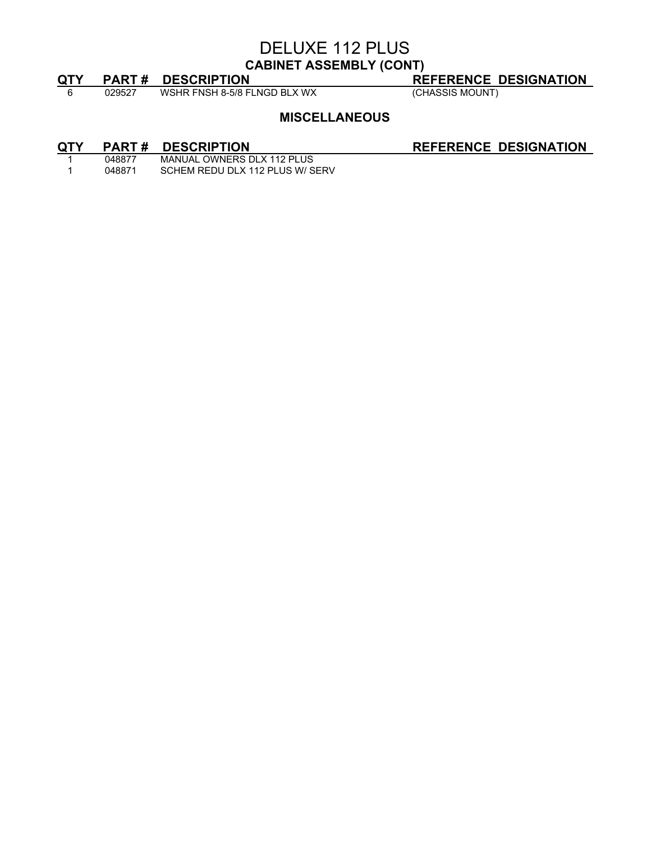#### DELUXE 112 PLUS **CABINET ASSEMBLY (CONT)**

**QTY PART # DESCRIPTION**<br>
6 029527 WSHR FNSH 8-5/8 FLNGD BLX WX (CHASSIS MOUNT)  $\frac{1}{6}$  029527 WSHR FNSH 8-5/8 FLNGD BLX WX

#### **MISCELLANEOUS**

## **QTY PART # DESCRIPTION**<br>1 048877 MANUAL OWNERS DLX 112 PLUS

1 048877 MANUAL OWNERS DLX 112 PLUS<br>1 048871 SCHEM REDU DLX 112 PLUS W/S SCHEM REDU DLX 112 PLUS W/ SERV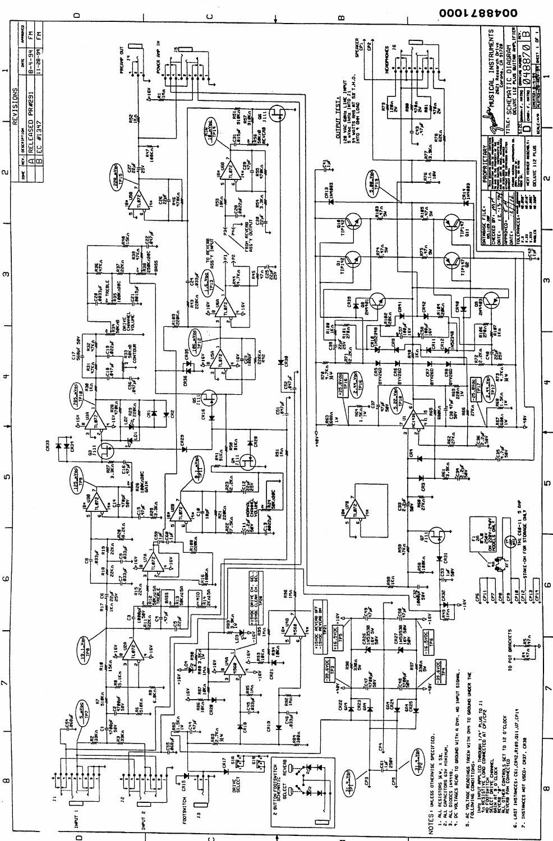